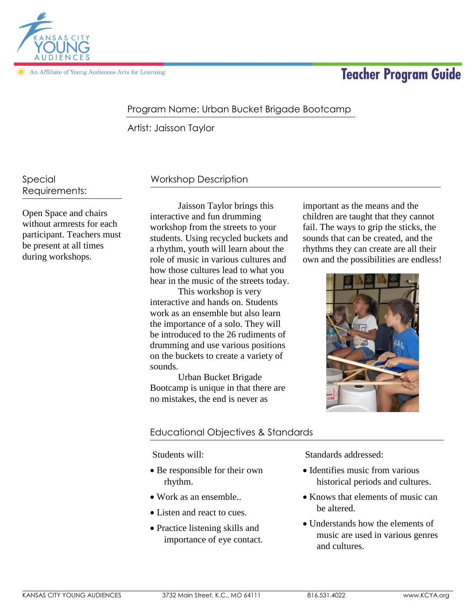

An Affiliate of Young Audiences Arts for Learning

# **Teacher Program Guide**

# Program Name: Urban Bucket Brigade Bootcamp

Artist: Jaisson Taylor

Special Requirements:

Open Space and chairs without armrests for each participant. Teachers must be present at all times during workshops.

# Workshop Description

Jaisson Taylor brings this interactive and fun drumming workshop from the streets to your students. Using recycled buckets and a rhythm, youth will learn about the role of music in various cultures and how those cultures lead to what you hear in the music of the streets today.

This workshop is very interactive and hands on. Students work as an ensemble but also learn the importance of a solo. They will be introduced to the 26 rudiments of drumming and use various positions on the buckets to create a variety of sounds.

Urban Bucket Brigade Bootcamp is unique in that there are no mistakes, the end is never as

important as the means and the children are taught that they cannot fail. The ways to grip the sticks, the sounds that can be created, and the rhythms they can create are all their own and the possibilities are endless!



## Educational Objectives & Standards

Students will:

- Be responsible for their own rhythm.
- Work as an ensemble..
- Listen and react to cues.
- Practice listening skills and importance of eye contact.

Standards addressed:

- Identifies music from various historical periods and cultures.
- Knows that elements of music can be altered.
- Understands how the elements of music are used in various genres and cultures.